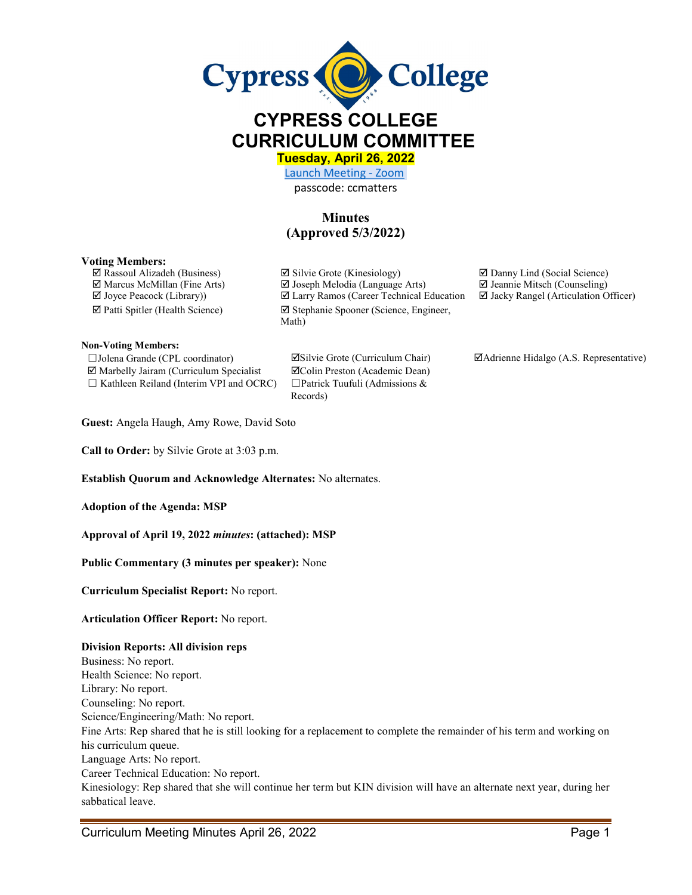

# **CYPRESS COLLEGE CURRICULUM COMMITTEE**

**Tuesday, April 26, 2022** 

[Launch Meeting - Zoom](https://cypresscollege-edu.zoom.us/j/96161669542?pwd=OWYraHlaR0UzOE9QYU9NaXlnSjRIZz09#success)  passcode: ccmatters

## **Minutes (Approved 5/3/2022)**

Records)

#### **Voting Members:**

**Non-Voting Members:**

☐Jolena Grande (CPL coordinator) Silvie Grote (Curriculum Chair) Adrienne Hidalgo (A.S. Representative)  $\boxtimes$  Marbelly Jairam (Curriculum Specialist  $\boxtimes$  Colin Preston (Academic Dean) ☐ Kathleen Reiland (Interim VPI and OCRC) ☐Patrick Tuufuli (Admissions &

 $\Box$  Rassoul Alizadeh (Business)  $\Box$  Silvie Grote (Kinesiology)  $\Box$  Danny Lind (Social Science) Marcus McMillan (Fine Arts) Joseph Melodia (Language Arts) Jeannie Mitsch (Counseling)  $\Box$  Joyce Peacock (Library))  $\Box$  Larry Ramos (Career Technical Education  $\Box$  Jacky Rangel (Articulation Officer) Patti Spitler (Health Science) Stephanie Spooner (Science, Engineer, Math)

**Guest:** Angela Haugh, Amy Rowe, David Soto

**Call to Order:** by Silvie Grote at 3:03 p.m.

**Establish Quorum and Acknowledge Alternates:** No alternates.

**Adoption of the Agenda: MSP** 

**Approval of April 19, 2022** *minutes***: (attached): MSP**

**Public Commentary (3 minutes per speaker):** None

**Curriculum Specialist Report:** No report.

#### **Articulation Officer Report:** No report.

#### **Division Reports: All division reps**

Business: No report. Health Science: No report. Library: No report. Counseling: No report. Science/Engineering/Math: No report. Fine Arts: Rep shared that he is still looking for a replacement to complete the remainder of his term and working on his curriculum queue. Language Arts: No report. Career Technical Education: No report. Kinesiology: Rep shared that she will continue her term but KIN division will have an alternate next year, during her sabbatical leave.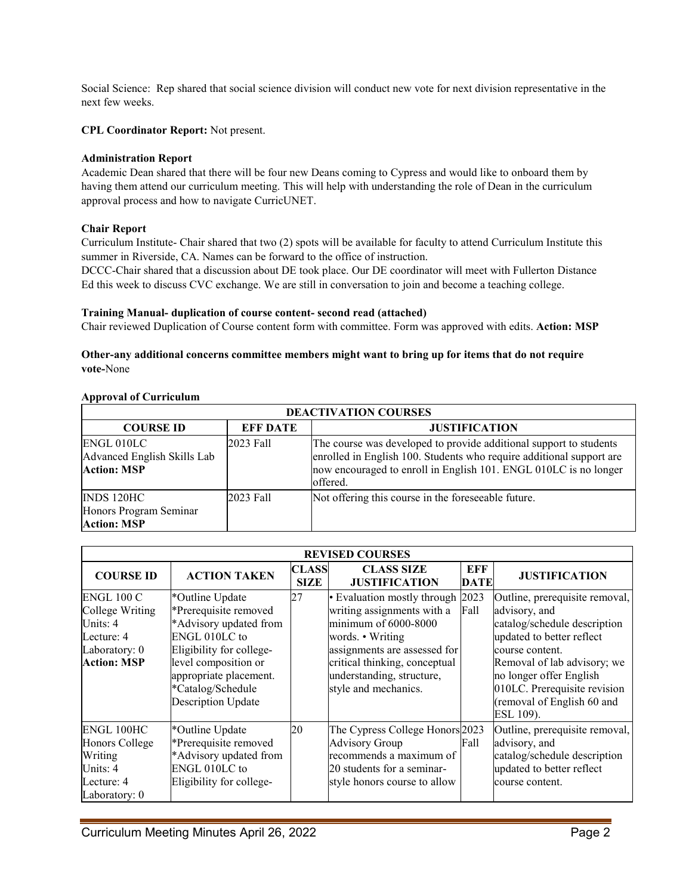Social Science: Rep shared that social science division will conduct new vote for next division representative in the next few weeks.

**CPL Coordinator Report:** Not present.

### **Administration Report**

Academic Dean shared that there will be four new Deans coming to Cypress and would like to onboard them by having them attend our curriculum meeting. This will help with understanding the role of Dean in the curriculum approval process and how to navigate CurricUNET.

### **Chair Report**

Curriculum Institute- Chair shared that two (2) spots will be available for faculty to attend Curriculum Institute this summer in Riverside, CA. Names can be forward to the office of instruction.

DCCC-Chair shared that a discussion about DE took place. Our DE coordinator will meet with Fullerton Distance Ed this week to discuss CVC exchange. We are still in conversation to join and become a teaching college.

### **Training Manual- duplication of course content- second read (attached)**

Chair reviewed Duplication of Course content form with committee. Form was approved with edits. **Action: MSP**

#### **Other-any additional concerns committee members might want to bring up for items that do not require vote-**None

#### **Approval of Curriculum**

| <b>DEACTIVATION COURSES</b>                                     |                 |                                                                                                                                                                                                                            |  |  |  |  |  |  |
|-----------------------------------------------------------------|-----------------|----------------------------------------------------------------------------------------------------------------------------------------------------------------------------------------------------------------------------|--|--|--|--|--|--|
| <b>COURSE ID</b>                                                | <b>EFF DATE</b> | <b>JUSTIFICATION</b>                                                                                                                                                                                                       |  |  |  |  |  |  |
| ENGL 010LC<br>Advanced English Skills Lab<br><b>Action: MSP</b> | 2023 Fall       | The course was developed to provide additional support to students<br>enrolled in English 100. Students who require additional support are<br>now encouraged to enroll in English 101. ENGL 010LC is no longer<br>offered. |  |  |  |  |  |  |
| INDS 120HC<br>Honors Program Seminar<br><b>Action: MSP</b>      | 2023 Fall       | Not offering this course in the foreseeable future.                                                                                                                                                                        |  |  |  |  |  |  |

| <b>REVISED COURSES</b>                                                                                |                                                                                                                                                                                                                     |                      |                                                                                                                                                                                                                                  |             |                                                                                                                                                                                                                                                                      |  |  |  |
|-------------------------------------------------------------------------------------------------------|---------------------------------------------------------------------------------------------------------------------------------------------------------------------------------------------------------------------|----------------------|----------------------------------------------------------------------------------------------------------------------------------------------------------------------------------------------------------------------------------|-------------|----------------------------------------------------------------------------------------------------------------------------------------------------------------------------------------------------------------------------------------------------------------------|--|--|--|
| <b>COURSE ID</b>                                                                                      | <b>ACTION TAKEN</b>                                                                                                                                                                                                 | CLASS<br><b>SIZE</b> | <b>CLASS SIZE</b><br><b>JUSTIFICATION</b>                                                                                                                                                                                        | EFF<br>DATE | <b>JUSTIFICATION</b>                                                                                                                                                                                                                                                 |  |  |  |
| <b>ENGL 100 C</b><br>College Writing<br>Units: 4<br>Lecture: 4<br>Laboratory: 0<br><b>Action: MSP</b> | *Outline Update<br>*Prerequisite removed<br>*Advisory updated from<br>ENGL 010LC to<br>Eligibility for college-<br>level composition or<br>appropriate placement.<br>*Catalog/Schedule<br><b>Description Update</b> | 27                   | • Evaluation mostly through 2023<br>writing assignments with a<br>minimum of 6000-8000<br>words. • Writing<br>assignments are assessed for<br>critical thinking, conceptual<br>understanding, structure,<br>style and mechanics. | Fall        | Outline, prerequisite removal,<br>advisory, and<br>catalog/schedule description<br>updated to better reflect<br>course content.<br>Removal of lab advisory; we<br>no longer offer English<br>010LC. Prerequisite revision<br>(removal of English 60 and<br>ESL 109). |  |  |  |
| <b>ENGL 100HC</b><br>Honors College<br>Writing<br>Units: 4<br>Lecture: 4<br>Laboratory: 0             | *Outline Update<br>*Prerequisite removed<br>*Advisory updated from<br>ENGL 010LC to<br>Eligibility for college-                                                                                                     | 20                   | The Cypress College Honors 2023<br><b>Advisory Group</b><br>recommends a maximum of<br>20 students for a seminar-<br>style honors course to allow                                                                                | Fall        | Outline, prerequisite removal,<br>advisory, and<br>catalog/schedule description<br>updated to better reflect<br>course content.                                                                                                                                      |  |  |  |